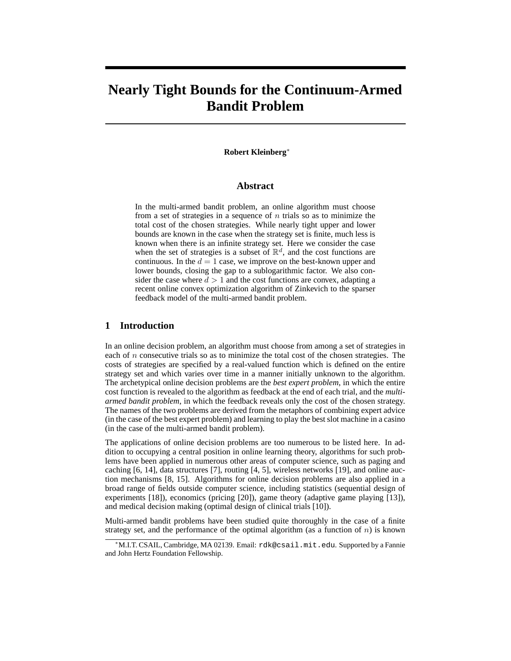# **Nearly Tight Bounds for the Continuum-Armed Bandit Problem**

#### **Robert Kleinberg**<sup>∗</sup>

#### **Abstract**

In the multi-armed bandit problem, an online algorithm must choose from a set of strategies in a sequence of  $n$  trials so as to minimize the total cost of the chosen strategies. While nearly tight upper and lower bounds are known in the case when the strategy set is finite, much less is known when there is an infinite strategy set. Here we consider the case when the set of strategies is a subset of  $\mathbb{R}^d$ , and the cost functions are continuous. In the  $d = 1$  case, we improve on the best-known upper and lower bounds, closing the gap to a sublogarithmic factor. We also consider the case where  $d > 1$  and the cost functions are convex, adapting a recent online convex optimization algorithm of Zinkevich to the sparser feedback model of the multi-armed bandit problem.

## **1 Introduction**

In an online decision problem, an algorithm must choose from among a set of strategies in each of  $n$  consecutive trials so as to minimize the total cost of the chosen strategies. The costs of strategies are specified by a real-valued function which is defined on the entire strategy set and which varies over time in a manner initially unknown to the algorithm. The archetypical online decision problems are the *best expert problem*, in which the entire cost function is revealed to the algorithm as feedback at the end of each trial, and the *multiarmed bandit problem*, in which the feedback reveals only the cost of the chosen strategy. The names of the two problems are derived from the metaphors of combining expert advice (in the case of the best expert problem) and learning to play the best slot machine in a casino (in the case of the multi-armed bandit problem).

The applications of online decision problems are too numerous to be listed here. In addition to occupying a central position in online learning theory, algorithms for such problems have been applied in numerous other areas of computer science, such as paging and caching [6, 14], data structures [7], routing [4, 5], wireless networks [19], and online auction mechanisms [8, 15]. Algorithms for online decision problems are also applied in a broad range of fields outside computer science, including statistics (sequential design of experiments [18]), economics (pricing [20]), game theory (adaptive game playing [13]), and medical decision making (optimal design of clinical trials [10]).

Multi-armed bandit problems have been studied quite thoroughly in the case of a finite strategy set, and the performance of the optimal algorithm (as a function of  $n$ ) is known

<sup>∗</sup>M.I.T. CSAIL, Cambridge, MA 02139. Email: rdk@csail.mit.edu. Supported by a Fannie and John Hertz Foundation Fellowship.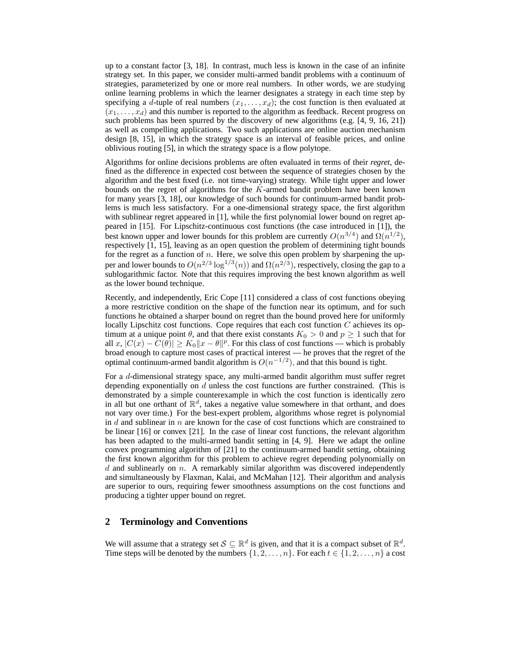up to a constant factor [3, 18]. In contrast, much less is known in the case of an infinite strategy set. In this paper, we consider multi-armed bandit problems with a continuum of strategies, parameterized by one or more real numbers. In other words, we are studying online learning problems in which the learner designates a strategy in each time step by specifying a d-tuple of real numbers  $(x_1, \ldots, x_d)$ ; the cost function is then evaluated at  $(x_1, \ldots, x_d)$  and this number is reported to the algorithm as feedback. Recent progress on such problems has been spurred by the discovery of new algorithms (e.g.  $[4, 9, 16, 21]$ ) as well as compelling applications. Two such applications are online auction mechanism design [8, 15], in which the strategy space is an interval of feasible prices, and online oblivious routing [5], in which the strategy space is a flow polytope.

Algorithms for online decisions problems are often evaluated in terms of their *regret*, defined as the difference in expected cost between the sequence of strategies chosen by the algorithm and the best fixed (i.e. not time-varying) strategy. While tight upper and lower bounds on the regret of algorithms for the K-armed bandit problem have been known for many years [3, 18], our knowledge of such bounds for continuum-armed bandit problems is much less satisfactory. For a one-dimensional strategy space, the first algorithm with sublinear regret appeared in [1], while the first polynomial lower bound on regret appeared in [15]. For Lipschitz-continuous cost functions (the case introduced in [1]), the best known upper and lower bounds for this problem are currently  $O(n^{3/4})$  and  $\Omega(n^{1/2})$ , respectively [1, 15], leaving as an open question the problem of determining tight bounds for the regret as a function of  $n$ . Here, we solve this open problem by sharpening the upper and lower bounds to  $O(n^{2/3} \log^{1/3}(n))$  and  $\Omega(n^{2/3})$ , respectively, closing the gap to a sublogarithmic factor. Note that this requires improving the best known algorithm as well as the lower bound technique.

Recently, and independently, Eric Cope [11] considered a class of cost functions obeying a more restrictive condition on the shape of the function near its optimum, and for such functions he obtained a sharper bound on regret than the bound proved here for uniformly locally Lipschitz cost functions. Cope requires that each cost function  $C$  achieves its optimum at a unique point  $\theta$ , and that there exist constants  $K_0 > 0$  and  $p \ge 1$  such that for all  $x, |C(x) - C(\theta)| \ge K_0 ||x - \theta||^p$ . For this class of cost functions — which is probably broad enough to capture most cases of practical interest — he proves that the regret of the optimal continuum-armed bandit algorithm is  $O(n^{-1/2})$ , and that this bound is tight.

For a d-dimensional strategy space, any multi-armed bandit algorithm must suffer regret depending exponentially on  $d$  unless the cost functions are further constrained. (This is demonstrated by a simple counterexample in which the cost function is identically zero in all but one orthant of  $\mathbb{R}^d$ , takes a negative value somewhere in that orthant, and does not vary over time.) For the best-expert problem, algorithms whose regret is polynomial in  $d$  and sublinear in  $n$  are known for the case of cost functions which are constrained to be linear [16] or convex [21]. In the case of linear cost functions, the relevant algorithm has been adapted to the multi-armed bandit setting in [4, 9]. Here we adapt the online convex programming algorithm of [21] to the continuum-armed bandit setting, obtaining the first known algorithm for this problem to achieve regret depending polynomially on  $d$  and sublinearly on  $n$ . A remarkably similar algorithm was discovered independently and simultaneously by Flaxman, Kalai, and McMahan [12]. Their algorithm and analysis are superior to ours, requiring fewer smoothness assumptions on the cost functions and producing a tighter upper bound on regret.

#### **2 Terminology and Conventions**

We will assume that a strategy set  $S \subseteq \mathbb{R}^d$  is given, and that it is a compact subset of  $\mathbb{R}^d$ . Time steps will be denoted by the numbers  $\{1, 2, \ldots, n\}$ . For each  $t \in \{1, 2, \ldots, n\}$  a cost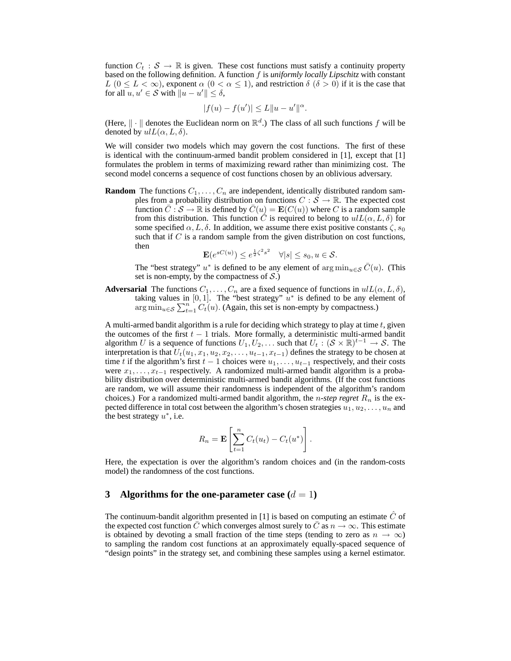function  $C_t$  :  $S \to \mathbb{R}$  is given. These cost functions must satisfy a continuity property based on the following definition. A function f is *uniformly locally Lipschitz* with constant  $L$  ( $0 \le L < \infty$ ), exponent  $\alpha$  ( $0 < \alpha \le 1$ ), and restriction  $\delta$  ( $\delta > 0$ ) if it is the case that for all  $u, u' \in S$  with  $||u - u'|| \leq \delta$ ,

$$
|f(u) - f(u')| \le L \|u - u'\|^{\alpha}.
$$

(Here,  $\|\cdot\|$  denotes the Euclidean norm on  $\mathbb{R}^d$ .) The class of all such functions f will be denoted by  $ulL(\alpha, L, \delta)$ .

We will consider two models which may govern the cost functions. The first of these is identical with the continuum-armed bandit problem considered in [1], except that [1] formulates the problem in terms of maximizing reward rather than minimizing cost. The second model concerns a sequence of cost functions chosen by an oblivious adversary.

**Random** The functions  $C_1, \ldots, C_n$  are independent, identically distributed random samples from a probability distribution on functions  $C : \mathcal{S} \to \mathbb{R}$ . The expected cost function  $\overline{C}$  :  $\mathcal{S} \to \mathbb{R}$  is defined by  $\overline{C}(u) = \mathbf{E}(C(u))$  where C is a random sample from this distribution. This function  $\overline{C}$  is required to belong to  $ulL(\alpha, L, \delta)$  for some specified  $\alpha$ , L,  $\delta$ . In addition, we assume there exist positive constants  $\zeta$ ,  $s_0$ such that if  $C$  is a random sample from the given distribution on cost functions, then

$$
\mathbf{E}(e^{sC(u)}) \le e^{\frac{1}{2}\zeta^2 s^2} \quad \forall |s| \le s_0, u \in \mathcal{S}.
$$

The "best strategy"  $u^*$  is defined to be any element of  $\arg \min_{u \in \mathcal{S}} \overline{C}(u)$ . (This set is non-empty, by the compactness of  $S$ .)

**Adversarial** The functions  $C_1, \ldots, C_n$  are a fixed sequence of functions in  $ulL(\alpha, L, \delta)$ , taking values in [0,1]. The "best strategy"  $u^*$  is defined to be any element of  $\lim_{u \in \mathcal{S}} \sum_{t=1}^{n} C_t(u)$ . (Again, this set is non-empty by compactness.)

A multi-armed bandit algorithm is a rule for deciding which strategy to play at time  $t$ , given the outcomes of the first  $t - 1$  trials. More formally, a deterministic multi-armed bandit algorithm U is a sequence of functions  $U_1, U_2, \ldots$  such that  $U_t : (\mathcal{S} \times \mathbb{R})^{t-1} \to \mathcal{S}$ . The interpretation is that  $U_t(u_1, x_1, u_2, x_2, \ldots, u_{t-1}, x_{t-1})$  defines the strategy to be chosen at time t if the algorithm's first  $t - 1$  choices were  $u_1, \ldots, u_{t-1}$  respectively, and their costs were  $x_1, \ldots, x_{t-1}$  respectively. A randomized multi-armed bandit algorithm is a probability distribution over deterministic multi-armed bandit algorithms. (If the cost functions are random, we will assume their randomness is independent of the algorithm's random choices.) For a randomized multi-armed bandit algorithm, the *n-step regret*  $R_n$  is the expected difference in total cost between the algorithm's chosen strategies  $u_1, u_2, \ldots, u_n$  and the best strategy  $u^*$ , i.e.

$$
R_n = \mathbf{E}\left[\sum_{t=1}^n C_t(u_t) - C_t(u^*)\right]
$$

.

Here, the expectation is over the algorithm's random choices and (in the random-costs model) the randomness of the cost functions.

#### **3** Algorithms for the one-parameter case  $(d = 1)$

The continuum-bandit algorithm presented in [1] is based on computing an estimate  $\hat{C}$  of the expected cost function C which converges almost surely to  $\overline{C}$  as  $n \to \infty$ . This estimate is obtained by devoting a small fraction of the time steps (tending to zero as  $n \to \infty$ ) to sampling the random cost functions at an approximately equally-spaced sequence of "design points" in the strategy set, and combining these samples using a kernel estimator.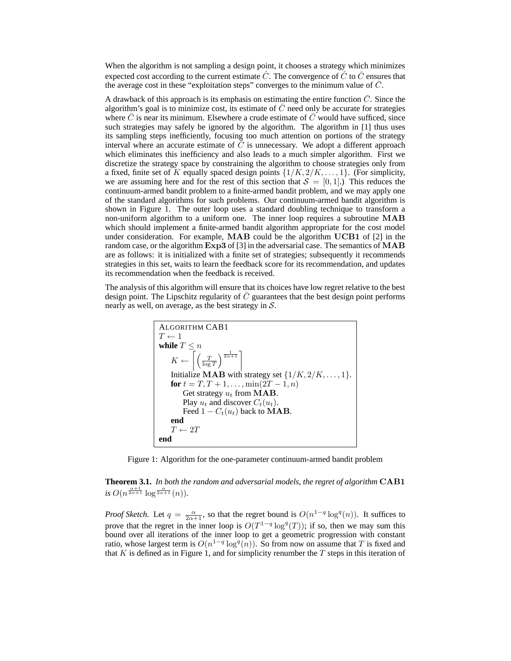When the algorithm is not sampling a design point, it chooses a strategy which minimizes expected cost according to the current estimate  $\hat{C}$ . The convergence of  $\hat{C}$  to  $\bar{C}$  ensures that the average cost in these "exploitation steps" converges to the minimum value of  $\bar{C}$ .

A drawback of this approach is its emphasis on estimating the entire function  $\overline{C}$ . Since the algorithm's goal is to minimize cost, its estimate of  $C$  need only be accurate for strategies where  $\overline{C}$  is near its minimum. Elsewhere a crude estimate of  $\overline{C}$  would have sufficed, since such strategies may safely be ignored by the algorithm. The algorithm in [1] thus uses its sampling steps inefficiently, focusing too much attention on portions of the strategy interval where an accurate estimate of  $\bar{\bar{C}}$  is unnecessary. We adopt a different approach which eliminates this inefficiency and also leads to a much simpler algorithm. First we discretize the strategy space by constraining the algorithm to choose strategies only from a fixed, finite set of K equally spaced design points  $\{1/K, 2/K, \ldots, 1\}$ . (For simplicity, we are assuming here and for the rest of this section that  $S = [0, 1]$ .) This reduces the continuum-armed bandit problem to a finite-armed bandit problem, and we may apply one of the standard algorithms for such problems. Our continuum-armed bandit algorithm is shown in Figure 1. The outer loop uses a standard doubling technique to transform a non-uniform algorithm to a uniform one. The inner loop requires a subroutine MAB which should implement a finite-armed bandit algorithm appropriate for the cost model under consideration. For example, MAB could be the algorithm UCB1 of [2] in the random case, or the algorithm Exp3 of [3] in the adversarial case. The semantics of MAB are as follows: it is initialized with a finite set of strategies; subsequently it recommends strategies in this set, waits to learn the feedback score for its recommendation, and updates its recommendation when the feedback is received.

The analysis of this algorithm will ensure that its choices have low regret relative to the best design point. The Lipschitz regularity of  $C$  guarantees that the best design point performs nearly as well, on average, as the best strategy in  $S$ .



Figure 1: Algorithm for the one-parameter continuum-armed bandit problem

**Theorem 3.1.** *In both the random and adversarial models, the regret of algorithm* CAB1 *is*  $O(n^{\frac{\alpha+1}{2\alpha+1}}\log^{\frac{\alpha}{2\alpha+1}}(n)).$ 

*Proof Sketch.* Let  $q = \frac{\alpha}{2\alpha+1}$ , so that the regret bound is  $O(n^{1-q} \log^q(n))$ . It suffices to prove that the regret in the inner loop is  $O(T^{1-q} \log^q(T))$ ; if so, then we may sum this bound over all iterations of the inner loop to get a geometric progression with constant ratio, whose largest term is  $O(n^{1-q} \log^q(n))$ . So from now on assume that T is fixed and that K is defined as in Figure 1, and for simplicity renumber the  $T$  steps in this iteration of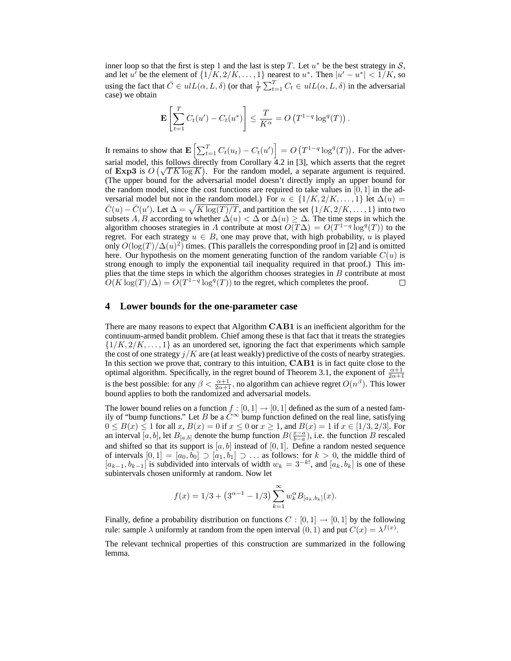inner loop so that the first is step 1 and the last is step T. Let  $u^*$  be the best strategy in S, and let u<sup>t</sup> be the element of  $\{1/K, 2/K, \ldots, 1\}$  nearest to  $u^*$ . Then  $|u'-u^*| < 1/K$ , so using the fact that  $\overline{C} \in ulL(\alpha, L, \delta)$  (or that  $\frac{1}{T} \sum_{t=1}^{T} C_t \in ulL(\alpha, L, \delta)$  in the adversarial case) we obtain

$$
\mathbf{E}\left[\sum_{t=1}^T C_t(u') - C_t(u^*)\right] \le \frac{T}{K^{\alpha}} = O\left(T^{1-q} \log^q(T)\right).
$$

It remains to show that  $\mathbf{E}\left[\sum_{t=1}^T C_t(u_t) - C_t(u')\right] = O\left(T^{1-q} \log^q(T)\right)$ . For the adversarial model, this follows directly from Corollary 4.2 in [3], which asserts that the regret of Exp3 is  $O(\sqrt{T K \log K})$ . For the random model, a separate argument is required. (The upper bound for the adversarial model doesn't directly imply an upper bound for the random model, since the cost functions are required to take values in  $[0, 1]$  in the adversarial model but not in the random model.) For  $u \in \{1/K, 2/K, \ldots, 1\}$  let  $\Delta(u)$  $\bar{C}(u) - \bar{C}(u')$ . Let  $\Delta = \sqrt{K \log(T)/T}$ , and partition the set  $\{1/K, 2/K, \dots, 1\}$  into two subsets A, B according to whether  $\Delta(u) < \Delta$  or  $\Delta(u) \geq \Delta$ . The time steps in which the algorithm chooses strategies in A contribute at most  $\widehat{O(T\Delta)} = O(T^{1-q} \log^{q}(T))$  to the regret. For each strategy  $u \in B$ , one may prove that, with high probability, u is played only  $O(\log(T)/\Delta(u)^2)$  times. (This parallels the corresponding proof in [2] and is omitted here. Our hypothesis on the moment generating function of the random variable  $C(u)$  is strong enough to imply the exponential tail inequality required in that proof.) This implies that the time steps in which the algorithm chooses strategies in B contribute at most  $O(K \log(T)/\Delta) = O(T^{1-q} \log^q(T))$  to the regret, which completes the proof.  $\Box$ 

#### **4 Lower bounds for the one-parameter case**

There are many reasons to expect that Algorithm CAB1 is an inefficient algorithm for the continuum-armed bandit problem. Chief among these is that fact that it treats the strategies  $\{1/K, 2/K, \ldots, 1\}$  as an unordered set, ignoring the fact that experiments which sample the cost of one strategy  $j/K$  are (at least weakly) predictive of the costs of nearby strategies. In this section we prove that, contrary to this intuition, CAB1 is in fact quite close to the optimal algorithm. Specifically, in the regret bound of Theorem 3.1, the exponent of  $\frac{\alpha+1}{2\alpha+1}$ is the best possible: for any  $\beta < \frac{\alpha+1}{2\alpha+1}$ , no algorithm can achieve regret  $O(n^{\beta})$ . This lower bound applies to both the randomized and adversarial models.

The lower bound relies on a function  $f : [0, 1] \rightarrow [0, 1]$  defined as the sum of a nested family of "bump functions." Let B be a  $C^{\infty}$  bump function defined on the real line, satisfying  $0 \le B(x) \le 1$  for all  $x, B(x) = 0$  if  $x \le 0$  or  $x \ge 1$ , and  $B(x) = 1$  if  $x \in [1/3, 2/3]$ . For an interval  $\overline{[a,b]}$ , let  $B_{[a,b]}$  denote the bump function  $B(\frac{x-a}{b-a})$ , i.e. the function B rescaled and shifted so that its support is  $[a, b]$  instead of  $[0, 1]$ . Define a random nested sequence of intervals  $[0, 1] = [a_0, b_0] \supset [a_1, b_1] \supset \ldots$  as follows: for  $k > 0$ , the middle third of  $[a_{k-1}, b_{k-1}]$  is subdivided into intervals of width  $w_k = 3^{-k!}$ , and  $[a_k, b_k]$  is one of these subintervals chosen uniformly at random. Now let

$$
f(x) = 1/3 + (3^{\alpha - 1} - 1/3) \sum_{k=1}^{\infty} w_k^{\alpha} B_{[a_k, b_k]}(x).
$$

Finally, define a probability distribution on functions  $C : [0,1] \rightarrow [0,1]$  by the following rule: sample  $\lambda$  uniformly at random from the open interval  $(0, 1)$  and put  $C(x) = \lambda^{f(x)}$ .

The relevant technical properties of this construction are summarized in the following lemma.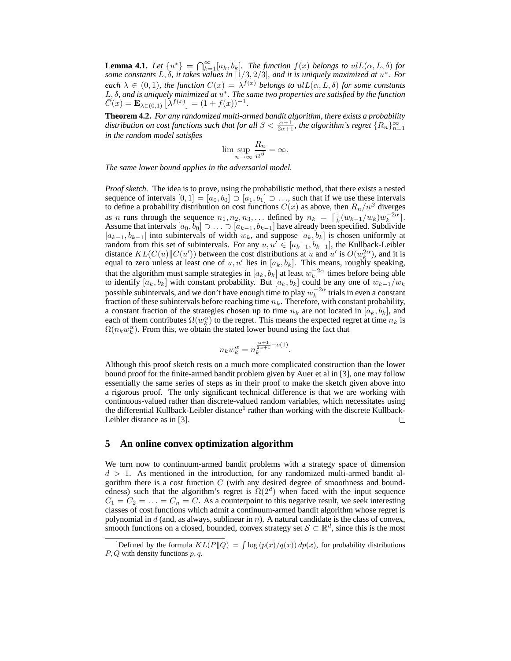**Lemma 4.1.** Let  $\{u^*\} = \bigcap_{k=1}^{\infty} [a_k, b_k]$ . The function  $f(x)$  belongs to  $uL(\alpha, L, \delta)$  for *some constants* L, δ*, it takes values in* [1/3, 2/3]*, and it is uniquely maximized at* u ∗ *. For each*  $\lambda \in (0,1)$ *, the function*  $C(x) = \lambda^{f(x)}$  *belongs to*  $u/L(\alpha, L, \delta)$  *for some constants* L, δ, and is uniquely minimized at  $u^*$ . The same two properties are satisfied by the function  $\bar{C}(x) = \mathbf{E}_{\lambda \in (0,1)} \left[ \lambda^{f(x)} \right] = (1 + f(x))^{-1}.$ 

**Theorem 4.2.** *For any randomized multi-armed bandit algorithm, there exists a probability* distribution on cost functions such that for all  $\beta < \frac{\alpha+1}{2\alpha+1}$ , the algorithm's regret  $\{R_n\}_{n=1}^{\infty}$ *in the random model satisfies*

$$
\lim \sup_{n \to \infty} \frac{R_n}{n^{\beta}} = \infty.
$$

*The same lower bound applies in the adversarial model.*

*Proof sketch.* The idea is to prove, using the probabilistic method, that there exists a nested sequence of intervals  $[0, 1] = [a_0, b_0] \supset [a_1, b_1] \supset \dots$ , such that if we use these intervals to define a probability distribution on cost functions  $C(x)$  as above, then  $R_n/n^{\beta}$  diverges as n runs through the sequence  $n_1, n_2, n_3, \ldots$  defined by  $n_k = \lceil \frac{1}{k} (w_{k-1}/w_k) w_k^{-2\alpha} \rceil$ . Assume that intervals  $[a_0, b_0] \supset \ldots \supset [a_{k-1}, b_{k-1}]$  have already been specified. Subdivide  $[a_{k-1}, b_{k-1}]$  into subintervals of width  $w_k$ , and suppose  $[a_k, b_k]$  is chosen uniformly at random from this set of subintervals. For any  $u, u' \in [a_{k-1}, b_{k-1}]$ , the Kullback-Leibler distance  $KL(C(u) \| C(u'))$  between the cost distributions at u and u' is  $O(w_k^{2\alpha})$ , and it is equal to zero unless at least one of u, u' lies in  $[a_k, b_k]$ . This means, roughly speaking, that the algorithm must sample strategies in  $[a_k, b_k]$  at least  $w_k^{-2\alpha}$  times before being able to identify  $[a_k, b_k]$  with constant probability. But  $[a_k, b_k]$  could be any one of  $w_{k-1}/w_k$ possible subintervals, and we don't have enough time to play  $w_k^{-2\alpha}$  trials in even a constant fraction of these subintervals before reaching time  $n_k$ . Therefore, with constant probability, a constant fraction of the strategies chosen up to time  $n_k$  are not located in  $[a_k, b_k]$ , and each of them contributes  $\Omega(w_k^{\alpha})$  to the regret. This means the expected regret at time  $n_k$  is  $\Omega(n_k w_k^{\alpha})$ . From this, we obtain the stated lower bound using the fact that

$$
n_kw_k^{\alpha}=n_k^{\frac{\alpha+1}{2\alpha+1}-o(1)}.
$$

Although this proof sketch rests on a much more complicated construction than the lower bound proof for the finite-armed bandit problem given by Auer et al in [3], one may follow essentially the same series of steps as in their proof to make the sketch given above into a rigorous proof. The only significant technical difference is that we are working with continuous-valued rather than discrete-valued random variables, which necessitates using the differential Kullback-Leibler distance<sup>1</sup> rather than working with the discrete Kullback-Leibler distance as in [3].  $\Box$ 

### **5 An online convex optimization algorithm**

We turn now to continuum-armed bandit problems with a strategy space of dimension  $d > 1$ . As mentioned in the introduction, for any randomized multi-armed bandit algorithm there is a cost function  $C$  (with any desired degree of smoothness and boundedness) such that the algorithm's regret is  $\Omega(2^d)$  when faced with the input sequence  $C_1 = C_2 = \ldots = C_n = C$ . As a counterpoint to this negative result, we seek interesting classes of cost functions which admit a continuum-armed bandit algorithm whose regret is polynomial in  $d$  (and, as always, sublinear in  $n$ ). A natural candidate is the class of convex, smooth functions on a closed, bounded, convex strategy set  $S \subset \mathbb{R}^d$ , since this is the most

<sup>&</sup>lt;sup>1</sup>Defined by the formula  $KL(P||Q) = \int \log (p(x)/q(x)) dp(x)$ , for probability distributions  $P, Q$  with density functions  $p, q$ .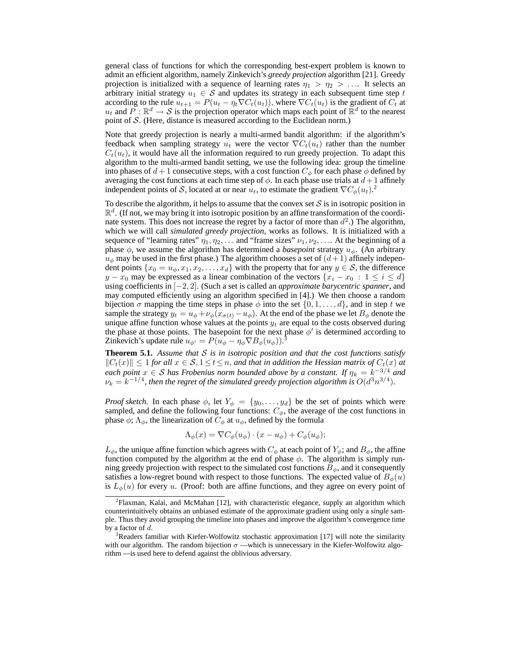general class of functions for which the corresponding best-expert problem is known to admit an efficient algorithm, namely Zinkevich's *greedy projection* algorithm [21]. Greedy projection is initialized with a sequence of learning rates  $\eta_1 > \eta_2 > \dots$  It selects an arbitrary initial strategy  $u_1 \in S$  and updates its strategy in each subsequent time step t according to the rule  $u_{t+1} = P(u_t - \eta_t \nabla C_t(u_t))$ , where  $\nabla C_t(u_t)$  is the gradient of  $C_t$  at  $u_t$  and  $\overline{P}: \mathbb{R}^d \to \mathcal{S}$  is the projection operator which maps each point of  $\mathbb{R}^d$  to the nearest point of  $S$ . (Here, distance is measured according to the Euclidean norm.)

Note that greedy projection is nearly a multi-armed bandit algorithm: if the algorithm's feedback when sampling strategy  $u_t$  were the vector  $\nabla C_t(u_t)$  rather than the number  $C_t(u_t)$ , it would have all the information required to run greedy projection. To adapt this algorithm to the multi-armed bandit setting, we use the following idea: group the timeline into phases of  $d+1$  consecutive steps, with a cost function  $C_{\phi}$  for each phase  $\phi$  defined by averaging the cost functions at each time step of  $\phi$ . In each phase use trials at  $d+1$  affinely independent points of S, located at or near  $u_t$ , to estimate the gradient  $\nabla C_{\phi}(u_t)$ .<sup>2</sup>

To describe the algorithm, it helps to assume that the convex set  $S$  is in isotropic position in  $\mathbb{R}^d$ . (If not, we may bring it into isotropic position by an affine transformation of the coordinate system. This does not increase the regret by a factor of more than  $d^2$ .) The algorithm, which we will call *simulated greedy projection*, works as follows. It is initialized with a sequence of "learning rates"  $\eta_1, \eta_2, \ldots$  and "frame sizes"  $\nu_1, \nu_2, \ldots$  At the beginning of a phase  $\phi$ , we assume the algorithm has determined a *basepoint* strategy  $u_{\phi}$ . (An arbitrary  $u_{\phi}$  may be used in the first phase.) The algorithm chooses a set of  $(d+1)$  affinely independent points  $\{x_0 = u_\phi, x_1, x_2, \dots, x_d\}$  with the property that for any  $y \in S$ , the difference  $y - x_0$  may be expressed as a linear combination of the vectors  $\{x_i - x_0 : 1 \le i \le d\}$ using coefficients in [−2, 2]. (Such a set is called an *approximate barycentric spanner*, and may computed efficiently using an algorithm specified in [4].) We then choose a random bijection  $\sigma$  mapping the time steps in phase  $\phi$  into the set  $\{0, 1, \ldots, d\}$ , and in step t we sample the strategy  $y_t = u_\phi + \nu_\phi (x_{\sigma(t)} - u_\phi)$ . At the end of the phase we let  $B_\phi$  denote the unique affine function whose values at the points  $y_t$  are equal to the costs observed during the phase at those points. The basepoint for the next phase  $\phi'$  is determined according to Zinkevich's update rule  $u_{\phi'} = P(u_{\phi} - \eta_{\phi} \nabla B_{\phi}(u_{\phi}))$ .<sup>3</sup>

**Theorem 5.1.** *Assume that* S *is in isotropic position and that the cost functions satisfy*  $||C_t(x)|| ≤ 1$  *for all*  $x ∈ S$ ,  $1 ≤ t ≤ n$ , *and that in addition the Hessian matrix of*  $C_t(x)$  *at each point*  $x \in S$  *has Frobenius norm bounded above by a constant. If*  $\eta_k = k^{-3/4}$  *and*  $\nu_k = k^{-1/4}$ , then the regret of the simulated greedy projection algorithm is  $O(d^3n^{3/4})$ .

*Proof sketch.* In each phase  $\phi$ , let  $Y_{\phi} = \{y_0, \ldots, y_d\}$  be the set of points which were sampled, and define the following four functions:  $C_{\phi}$ , the average of the cost functions in phase  $\phi$ ;  $\Lambda_{\phi}$ , the linearization of  $C_{\phi}$  at  $u_{\phi}$ , defined by the formula

$$
\Lambda_{\phi}(x) = \nabla C_{\phi}(u_{\phi}) \cdot (x - u_{\phi}) + C_{\phi}(u_{\phi});
$$

 $L_{\phi}$ , the unique affine function which agrees with  $C_{\phi}$  at each point of  $Y_{\phi}$ ; and  $B_{\phi}$ , the affine function computed by the algorithm at the end of phase  $\phi$ . The algorithm is simply running greedy projection with respect to the simulated cost functions  $B_{\phi}$ , and it consequently satisfies a low-regret bound with respect to those functions. The expected value of  $B_{\phi}(u)$ is  $L_{\phi}(u)$  for every u. (Proof: both are affine functions, and they agree on every point of

<sup>&</sup>lt;sup>2</sup>Flaxman, Kalai, and McMahan [12], with characteristic elegance, supply an algorithm which counterintuitively obtains an unbiased estimate of the approximate gradient using only a *single* sample. Thus they avoid grouping the timeline into phases and improve the algorithm's convergence time by a factor of  $d$ .

<sup>&</sup>lt;sup>3</sup>Readers familiar with Kiefer-Wolfowitz stochastic approximation [17] will note the similarity with our algorithm. The random bijection  $\sigma$  —which is unnecessary in the Kiefer-Wolfowitz algorithm — is used here to defend against the oblivious adversary.